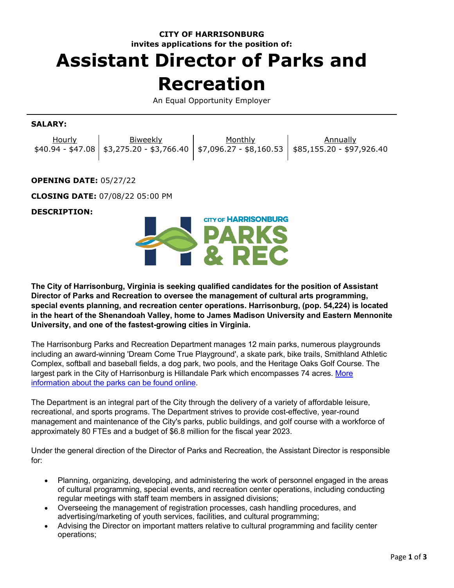# **CITY OF HARRISONBURG invites applications for the position of:**

# **Assistant Director of Parks and Recreation**

An Equal Opportunity Employer

## **SALARY:**

| Hourly | Biweekly | Monthly | Annually                                                                                    |
|--------|----------|---------|---------------------------------------------------------------------------------------------|
|        |          |         | $$40.94 - $47.08$ $$3,275.20 - $3,766.40$ $$7,096.27 - $8,160.53$ $$85,155.20 - $97,926.40$ |

#### **OPENING DATE:** 05/27/22

**CLOSING DATE:** 07/08/22 05:00 PM

#### **DESCRIPTION:**



**The City of Harrisonburg, Virginia is seeking qualified candidates for the position of Assistant Director of Parks and Recreation to oversee the management of cultural arts programming, special events planning, and recreation center operations. Harrisonburg, (pop. 54,224) is located in the heart of the Shenandoah Valley, home to James Madison University and Eastern Mennonite University, and one of the fastest-growing cities in Virginia.**

The Harrisonburg Parks and Recreation Department manages 12 main parks, numerous playgrounds including an award-winning 'Dream Come True Playground', a skate park, bike trails, Smithland Athletic Complex, softball and baseball fields, a dog park, two pools, and the Heritage Oaks Golf Course. The largest park in the City of Harrisonburg is Hillandale Park which encompasses 74 acres. [More](http://www.harrisonburgva.gov/parks-recreation)  [information about the parks can be found online.](http://www.harrisonburgva.gov/parks-recreation)

The Department is an integral part of the City through the delivery of a variety of affordable leisure, recreational, and sports programs. The Department strives to provide cost-effective, year-round management and maintenance of the City's parks, public buildings, and golf course with a workforce of approximately 80 FTEs and a budget of \$6.8 million for the fiscal year 2023.

Under the general direction of the Director of Parks and Recreation, the Assistant Director is responsible for:

- Planning, organizing, developing, and administering the work of personnel engaged in the areas of cultural programming, special events, and recreation center operations, including conducting regular meetings with staff team members in assigned divisions;
- Overseeing the management of registration processes, cash handling procedures, and advertising/marketing of youth services, facilities, and cultural programming;
- Advising the Director on important matters relative to cultural programming and facility center operations;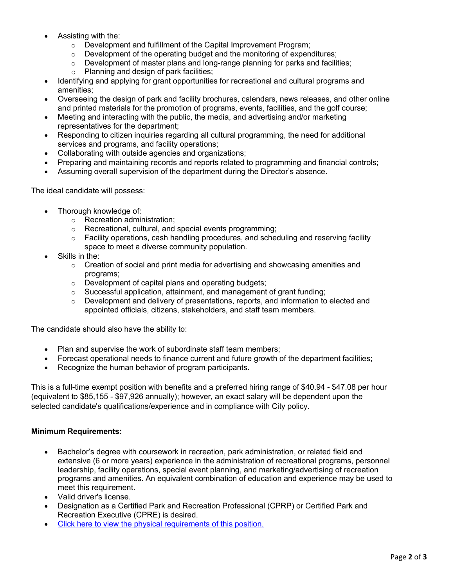- Assisting with the:
	- o Development and fulfillment of the Capital Improvement Program;
	- $\circ$  Development of the operating budget and the monitoring of expenditures;
	- $\circ$  Development of master plans and long-range planning for parks and facilities;
	- o Planning and design of park facilities;
- Identifying and applying for grant opportunities for recreational and cultural programs and amenities;
- Overseeing the design of park and facility brochures, calendars, news releases, and other online and printed materials for the promotion of programs, events, facilities, and the golf course;
- Meeting and interacting with the public, the media, and advertising and/or marketing representatives for the department;
- Responding to citizen inquiries regarding all cultural programming, the need for additional services and programs, and facility operations;
- Collaborating with outside agencies and organizations;
- Preparing and maintaining records and reports related to programming and financial controls;
- Assuming overall supervision of the department during the Director's absence.

The ideal candidate will possess:

- Thorough knowledge of:
	- o Recreation administration;
	- o Recreational, cultural, and special events programming;
	- $\circ$  Facility operations, cash handling procedures, and scheduling and reserving facility space to meet a diverse community population.
- Skills in the:
	- $\circ$  Creation of social and print media for advertising and showcasing amenities and programs;
	- o Development of capital plans and operating budgets;
	- $\circ$  Successful application, attainment, and management of grant funding:
	- $\circ$  Development and delivery of presentations, reports, and information to elected and appointed officials, citizens, stakeholders, and staff team members.

The candidate should also have the ability to:

- Plan and supervise the work of subordinate staff team members;
- Forecast operational needs to finance current and future growth of the department facilities;
- Recognize the human behavior of program participants.

This is a full-time exempt position with benefits and a preferred hiring range of \$40.94 - \$47.08 per hour (equivalent to \$85,155 - \$97,926 annually); however, an exact salary will be dependent upon the selected candidate's qualifications/experience and in compliance with City policy.

#### **Minimum Requirements:**

- Bachelor's degree with coursework in recreation, park administration, or related field and extensive (6 or more years) experience in the administration of recreational programs, personnel leadership, facility operations, special event planning, and marketing/advertising of recreation programs and amenities. An equivalent combination of education and experience may be used to meet this requirement.
- Valid driver's license.
- Designation as a Certified Park and Recreation Professional (CPRP) or Certified Park and Recreation Executive (CPRE) is desired.
- [Click here to view the physical requirements of this position.](https://www.governmentjobs.com/careers/harrisonburg/classspecs/1012167?keywords=5215&pagetype=classSpecifications)